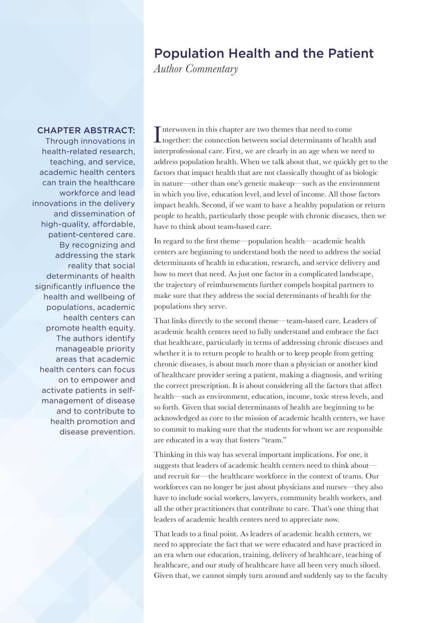## Population Health and the Patient

*Author Commentary*

## CHAPTER ABSTRACT:

Through innovations in health-related research, teaching, and service, academic health centers can train the healthcare workforce and lead innovations in the delivery and dissemination of high-quality, affordable, patient-centered care. By recognizing and addressing the stark reality that social determinants of health significantly influence the health and wellbeing of populations, academic health centers can promote health equity. The authors identify manageable priority areas that academic health centers can focus on to empower and activate patients in selfmanagement of disease and to contribute to health promotion and disease prevention.

Interwoven in this chapter are two themes that need to come together: the connection between social determinants of heal together: the connection between social determinants of health and interprofessional care. First, we are clearly in an age when we need to address population health. When we talk about that, we quickly get to the factors that impact health that are not classically thought of as biologic in nature—other than one's genetic makeup—such as the environment in which you live, education level, and level of income. All those factors impact health. Second, if we want to have a healthy population or return people to health, particularly those people with chronic diseases, then we have to think about team-based care.

In regard to the first theme—population health—academic health centers are beginning to understand both the need to address the social determinants of health in education, research, and service delivery and how to meet that need. As just one factor in a complicated landscape, the trajectory of reimbursements further compels hospital partners to make sure that they address the social determinants of health for the populations they serve.

That links directly to the second theme—team-based care. Leaders of academic health centers need to fully understand and embrace the fact that healthcare, particularly in terms of addressing chronic diseases and whether it is to return people to health or to keep people from getting chronic diseases, is about much more than a physician or another kind of healthcare provider seeing a patient, making a diagnosis, and writing the correct prescription. It is about considering all the factors that affect health—such as environment, education, income, toxic stress levels, and so forth. Given that social determinants of health are beginning to be acknowledged as core to the mission of academic health centers, we have to commit to making sure that the students for whom we are responsible are educated in a way that fosters "team."

Thinking in this way has several important implications. For one, it suggests that leaders of academic health centers need to think about and recruit for—the healthcare workforce in the context of teams. Our workforces can no longer be just about physicians and nurses—they also have to include social workers, lawyers, community health workers, and all the other practitioners that contribute to care. That's one thing that leaders of academic health centers need to appreciate now.

That leads to a final point. As leaders of academic health centers, we need to appreciate the fact that we were educated and have practiced in an era when our education, training, delivery of healthcare, teaching of healthcare, and our study of healthcare have all been very much siloed. Given that, we cannot simply turn around and suddenly say to the faculty